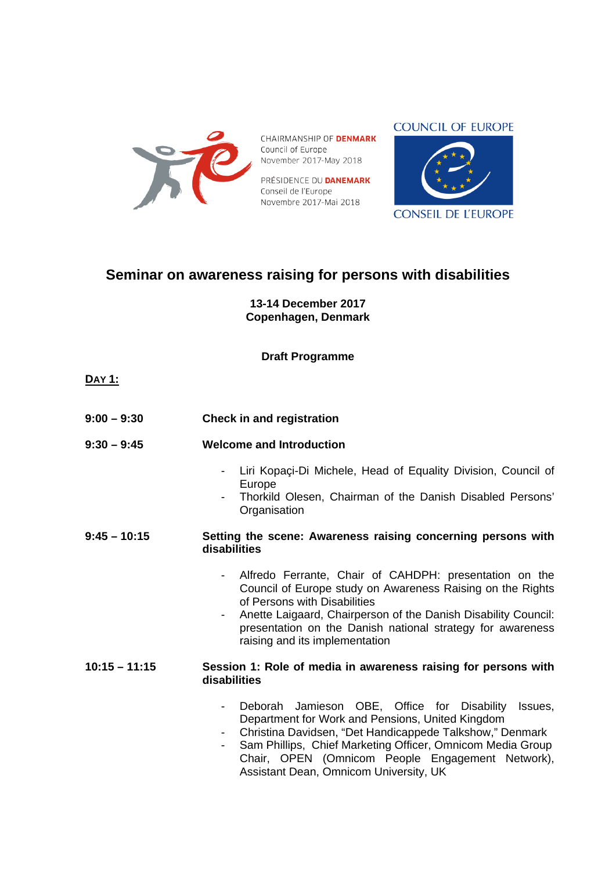

CHAIRMANSHIP OF **DENMARK** Council of Europe November 2017-May 2018

PRÉSIDENCE DU **DANEMARK** Conseil de l'Europe Novembre 2017-Mai 2018



**CONSEIL DE L'EUROPE** 

## **Seminar on awareness raising for persons with disabilities**

**13-14 December 2017 Copenhagen, Denmark**

**Draft Programme**

| $9:00 - 9:30$ | <b>Check in and registration</b> |
|---------------|----------------------------------|
|               |                                  |

- **9:30 9:45 Welcome and Introduction** 
	- Liri Kopaci-Di Michele, Head of Equality Division, Council of Europe
	- Thorkild Olesen, Chairman of the Danish Disabled Persons' **Organisation**

## **9:45 – 10:15 Setting the scene: Awareness raising concerning persons with disabilities**

- Alfredo Ferrante, Chair of CAHDPH: presentation on the Council of Europe study on Awareness Raising on the Rights of Persons with Disabilities
- Anette Laigaard, Chairperson of the Danish Disability Council: presentation on the Danish national strategy for awareness raising and its implementation

## **10:15 – 11:15 Session 1: Role of media in awareness raising for persons with disabilities**

- Deborah Jamieson OBE, Office for Disability Issues, Department for Work and Pensions, United Kingdom
- Christina Davidsen, "Det Handicappede Talkshow," Denmark
- Sam Phillips, Chief Marketing Officer, Omnicom Media Group Chair, OPEN (Omnicom People Engagement Network), Assistant Dean, Omnicom University, UK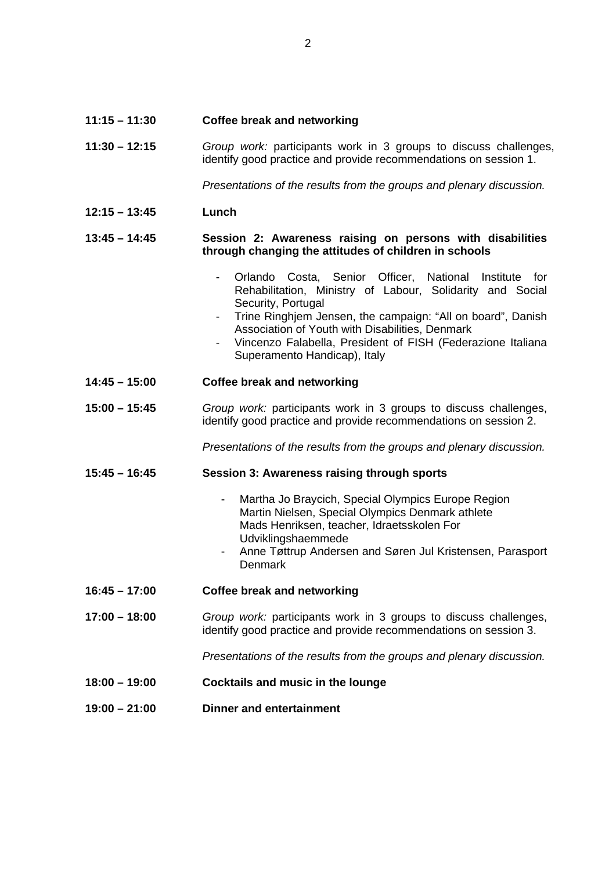| 11:15 - 11:30 | <b>Coffee break and networking</b> |
|---------------|------------------------------------|
|---------------|------------------------------------|

**11:30 – 12:15** *Group work:* participants work in 3 groups to discuss challenges, identify good practice and provide recommendations on session 1.

*Presentations of the results from the groups and plenary discussion.*

**12:15 – 13:45 Lunch**

## **13:45 – 14:45 Session 2: Awareness raising on persons with disabilities through changing the attitudes of children in schools**

- Orlando Costa, Senior Officer, National Institute for Rehabilitation, Ministry of Labour, Solidarity and Social Security, Portugal
- Trine Ringhjem Jensen, the campaign: "All on board", Danish Association of Youth with Disabilities, Denmark
- Vincenzo Falabella, President of FISH (Federazione Italiana Superamento Handicap), Italy
- **14:45 15:00 Coffee break and networking**
- **15:00 15:45** *Group work:* participants work in 3 groups to discuss challenges, identify good practice and provide recommendations on session 2.

*Presentations of the results from the groups and plenary discussion.*

- **15:45 16:45 Session 3: Awareness raising through sports** 
	- Martha Jo Braycich, Special Olympics Europe Region Martin Nielsen, Special Olympics Denmark athlete Mads Henriksen, teacher, Idraetsskolen For Udviklingshaemmede
	- Anne Tøttrup Andersen and Søren Jul Kristensen, Parasport **Denmark**
- **16:45 17:00 Coffee break and networking**
- **17:00 18:00** *Group work:* participants work in 3 groups to discuss challenges, identify good practice and provide recommendations on session 3.

*Presentations of the results from the groups and plenary discussion.*

- **18:00 19:00 Cocktails and music in the lounge**
- **19:00 21:00 Dinner and entertainment**